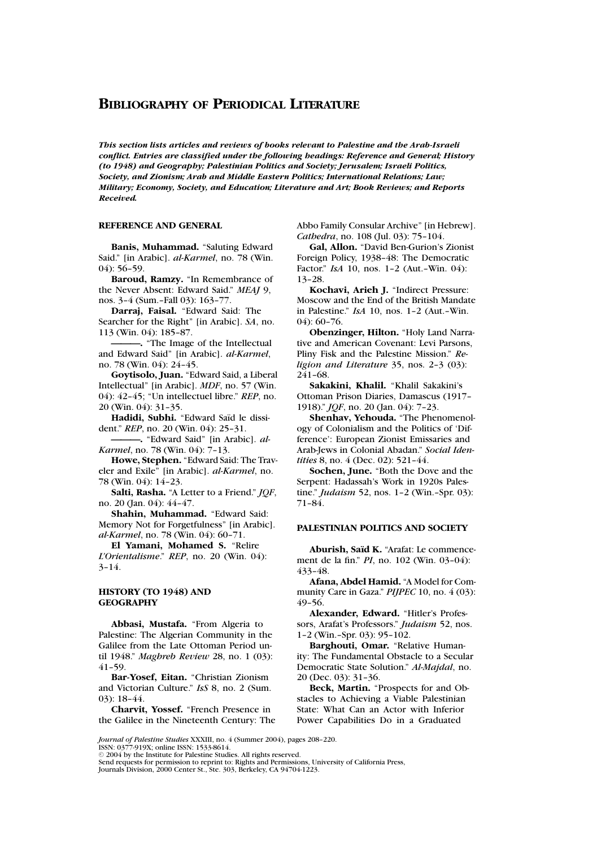*This section lists articles and reviews of books relevant to Palestine and the Arab-Israeli conflict. Entries are classified under the following headings: Reference and General; History (to 1948) and Geography; Palestinian Politics and Society; Jerusalem; Israeli Politics, Society, and Zionism; Arab and Middle Eastern Politics; International Relations; Law; Military; Economy, Society, and Education; Literature and Art; Book Reviews; and Reports Received.*

### **REFERENCE AND GENERAL**

**Banis, Muhammad.** "Saluting Edward Said." [in Arabic]. *al-Karmel*, no. 78 (Win. 04): 56–59.

**Baroud, Ramzy.** "In Remembrance of the Never Absent: Edward Said." *MEAJ* 9, nos. 3–4 (Sum.–Fall 03): 163–77.

**Darraj, Faisal.** "Edward Said: The Searcher for the Right" [in Arabic]. *SA*, no. 113 (Win. 04): 185–87.

**———.** "The Image of the Intellectual and Edward Said" [in Arabic]. *al-Karmel*, no. 78 (Win. 04): 24–45.

**Goytisolo, Juan.** "Edward Said, a Liberal Intellectual" [in Arabic]. *MDF*, no. 57 (Win. 04): 42–45; "Un intellectuel libre." *REP*, no. 20 (Win. 04): 31–35.

Hadidi, Subhi. "Edward Saïd le dissident." *REP*, no. 20 (Win. 04): 25–31.

**———.** "Edward Said" [in Arabic]. *al-Karmel*, no. 78 (Win. 04): 7–13.

**Howe, Stephen.** "Edward Said: The Traveler and Exile" [in Arabic]. *al-Karmel*, no. 78 (Win. 04): 14–23.

**Salti, Rasha.** "A Letter to a Friend." *JQF*, no. 20 (Jan. 04): 44–47.

**Shahin, Muhammad.** "Edward Said: Memory Not for Forgetfulness" [in Arabic]. *al-Karmel*, no. 78 (Win. 04): 60–71.

**El Yamani, Mohamed S.** "Relire *L'Orientalisme*." *REP*, no. 20 (Win. 04):  $3 - 14.$ 

# **HISTORY (TO 1948) AND GEOGRAPHY**

**Abbasi, Mustafa.** "From Algeria to Palestine: The Algerian Community in the Galilee from the Late Ottoman Period until 1948." *Maghreb Review* 28, no. 1 (03): 41–59.

**Bar-Yosef, Eitan.** "Christian Zionism and Victorian Culture." *IsS* 8, no. 2 (Sum. 03): 18–44.

**Charvit, Yossef.** "French Presence in the Galilee in the Nineteenth Century: The Abbo Family Consular Archive" [in Hebrew]. *Cathedra*, no. 108 (Jul. 03): 75–104.

**Gal, Allon.** "David Ben-Gurion's Zionist Foreign Policy, 1938–48: The Democratic Factor." *IsA* 10, nos. 1–2 (Aut.–Win. 04): 13–28.

**Kochavi, Arieh J.** "Indirect Pressure: Moscow and the End of the British Mandate in Palestine." *IsA* 10, nos. 1–2 (Aut.–Win. 04): 60–76.

**Obenzinger, Hilton.** "Holy Land Narrative and American Covenant: Levi Parsons, Pliny Fisk and the Palestine Mission." *Religion and Literature* 35, nos. 2–3 (03): 241–68.

**Sakakini, Khalil.** "Khalil Sakakini's Ottoman Prison Diaries, Damascus (1917– 1918)." *JQF*, no. 20 (Jan. 04): 7–23.

**Shenhav, Yehouda.** "The Phenomenology of Colonialism and the Politics of 'Difference': European Zionist Emissaries and Arab-Jews in Colonial Abadan." *Social Identities* 8, no. 4 (Dec. 02): 521–44.

**Sochen, June.** "Both the Dove and the Serpent: Hadassah's Work in 1920s Palestine." *Judaism* 52, nos. 1–2 (Win.–Spr. 03): 71–84.

# **PALESTINIAN POLITICS AND SOCIETY**

**Aburish, Sa¨ıd K.** "Arafat: Le commencement de la fin." *PI*, no. 102 (Win. 03–04): 433–48.

**Afana, Abdel Hamid.** "A Model for Community Care in Gaza." *PIJPEC* 10, no. 4 (03): 49–56.

**Alexander, Edward.** "Hitler's Professors, Arafat's Professors." *Judaism* 52, nos. 1–2 (Win.–Spr. 03): 95–102.

**Barghouti, Omar.** "Relative Humanity: The Fundamental Obstacle to a Secular Democratic State Solution." *Al-Majdal*, no. 20 (Dec. 03): 31–36.

**Beck, Martin.** "Prospects for and Obstacles to Achieving a Viable Palestinian State: What Can an Actor with Inferior Power Capabilities Do in a Graduated

*Journal of Palestine Studies* XXXIII, no. 4 (Summer 2004), pages 208–220. ISSN: 0377-919X; online ISSN: 1533-8614.

2004 by the Institute for Palestine Studies. All rights reserved.

Send requests for permission to reprint to: Rights and Permissions, University of California Press, Journals Division, 2000 Center St., Ste. 303, Berkeley, CA 94704-1223.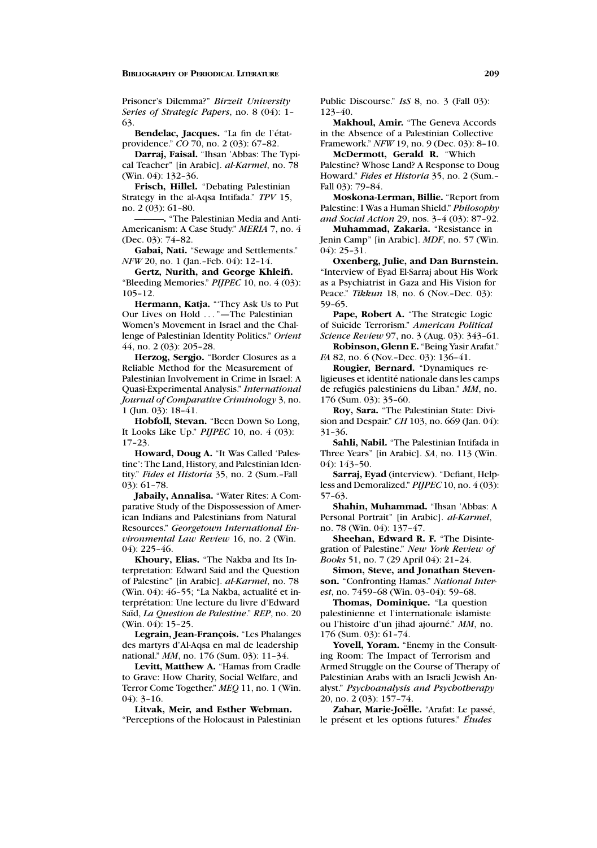Prisoner's Dilemma?" *Birzeit University Series of Strategic Papers*, no. 8 (04): 1– 63.

Bendelac, Jacques. "La fin de l'étatprovidence." *CO* 70, no. 2 (03): 67–82.

**Darraj, Faisal.** "Ihsan 'Abbas: The Typical Teacher" [in Arabic]. *al-Karmel*, no. 78 (Win. 04): 132–36.

**Frisch, Hillel.** "Debating Palestinian Strategy in the al-Aqsa Intifada." *TPV* 15, no. 2 (03): 61–80.

**———.** "The Palestinian Media and Anti-Americanism: A Case Study." *MERIA* 7, no. 4 (Dec. 03): 74–82.

**Gabai, Nati.** "Sewage and Settlements." *NFW* 20, no. 1 (Jan.–Feb. 04): 12–14.

**Gertz, Nurith, and George Khleifi.** "Bleeding Memories." *PIJPEC* 10, no. 4 (03): 105–12.

**Hermann, Katja.** "'They Ask Us to Put Our Lives on Hold ... "—The Palestinian Women's Movement in Israel and the Challenge of Palestinian Identity Politics." *Orient* 44, no. 2 (03): 205–28.

**Herzog, Sergjo.** "Border Closures as a Reliable Method for the Measurement of Palestinian Involvement in Crime in Israel: A Quasi-Experimental Analysis." *International Journal of Comparative Criminology* 3, no. 1 (Jun. 03): 18–41.

**Hobfoll, Stevan.** "Been Down So Long, It Looks Like Up." *PIJPEC* 10, no. 4 (03): 17–23.

**Howard, Doug A.** "It Was Called 'Palestine': The Land, History, and Palestinian Identity." *Fides et Historia* 35, no. 2 (Sum.–Fall 03): 61–78.

**Jabaily, Annalisa.** "Water Rites: A Comparative Study of the Dispossession of American Indians and Palestinians from Natural Resources." *Georgetown International Environmental Law Review* 16, no. 2 (Win. 04): 225–46.

**Khoury, Elias.** "The Nakba and Its Interpretation: Edward Said and the Question of Palestine" [in Arabic]. *al-Karmel*, no. 78 (Win. 04): 46-55; "La Nakba, actualité et interprétation: Une lecture du livre d'Edward Saïd, *La Question de Palestine*." *REP*, no. 20 (Win. 04): 15-25.

Legrain, Jean-François. "Les Phalanges des martyrs d'Al-Aqsa en mal de leadership national." *MM*, no. 176 (Sum. 03): 11–34.

**Levitt, Matthew A.** "Hamas from Cradle to Grave: How Charity, Social Welfare, and Terror Come Together." *MEQ* 11, no. 1 (Win.  $04$ : 3–16.

**Litvak, Meir, and Esther Webman.**

"Perceptions of the Holocaust in Palestinian

Public Discourse." *IsS* 8, no. 3 (Fall 03): 123–40.

**Makhoul, Amir.** "The Geneva Accords in the Absence of a Palestinian Collective Framework." *NFW* 19, no. 9 (Dec. 03): 8–10. **McDermott, Gerald R.** "Which

Palestine? Whose Land? A Response to Doug Howard." *Fides et Historia* 35, no. 2 (Sum.– Fall 03): 79–84.

**Moskona-Lerman, Billie.** "Report from Palestine: I Was a Human Shield." *Philosophy and Social Action* 29, nos. 3–4 (03): 87–92.

**Muhammad, Zakaria.** "Resistance in Jenin Camp" [in Arabic]. *MDF*, no. 57 (Win. 04): 25–31.

**Oxenberg, Julie, and Dan Burnstein.** "Interview of Eyad El-Sarraj about His Work as a Psychiatrist in Gaza and His Vision for Peace." *Tikkun* 18, no. 6 (Nov.–Dec. 03): 59–65.

**Pape, Robert A.** "The Strategic Logic of Suicide Terrorism." *American Political Science Review* 97, no. 3 (Aug. 03): 343–61.

**Robinson, Glenn E.** "Being Yasir Arafat." *FA* 82, no. 6 (Nov.-Dec. 03): 136-41.

**Rougier, Bernard.** "Dynamiques religieuses et identité nationale dans les camps de refugiés palestiniens du Liban." MM, no. 176 (Sum. 03): 35–60.

**Roy, Sara.** "The Palestinian State: Division and Despair." *CH* 103, no. 669 (Jan. 04): 31–36.

**Sahli, Nabil.** "The Palestinian Intifada in Three Years" [in Arabic]. *SA*, no. 113 (Win. 04): 143–50.

**Sarraj, Eyad** (interview). "Defiant, Helpless and Demoralized." *PIJPEC* 10, no. 4 (03): 57–63.

**Shahin, Muhammad.** "Ihsan 'Abbas: A Personal Portrait" [in Arabic]. *al-Karmel*, no. 78 (Win. 04): 137–47.

**Sheehan, Edward R. F.** "The Disintegration of Palestine." *New York Review of Books* 51, no. 7 (29 April 04): 21–24.

**Simon, Steve, and Jonathan Stevenson.** "Confronting Hamas." *National Interest*, no. 7459–68 (Win. 03–04): 59–68.

**Thomas, Dominique.** "La question palestinienne et l'internationale islamiste ou l'histoire d'un jihad ajourn´e." *MM*, no. 176 (Sum. 03): 61–74.

**Yovell, Yoram.** "Enemy in the Consulting Room: The Impact of Terrorism and Armed Struggle on the Course of Therapy of Palestinian Arabs with an Israeli Jewish Analyst." *Psychoanalysis and Psychotherapy* 20, no. 2 (03): 157–74.

Zahar, Marie-Joëlle. "Arafat: Le passé, le présent et les options futures." *Études*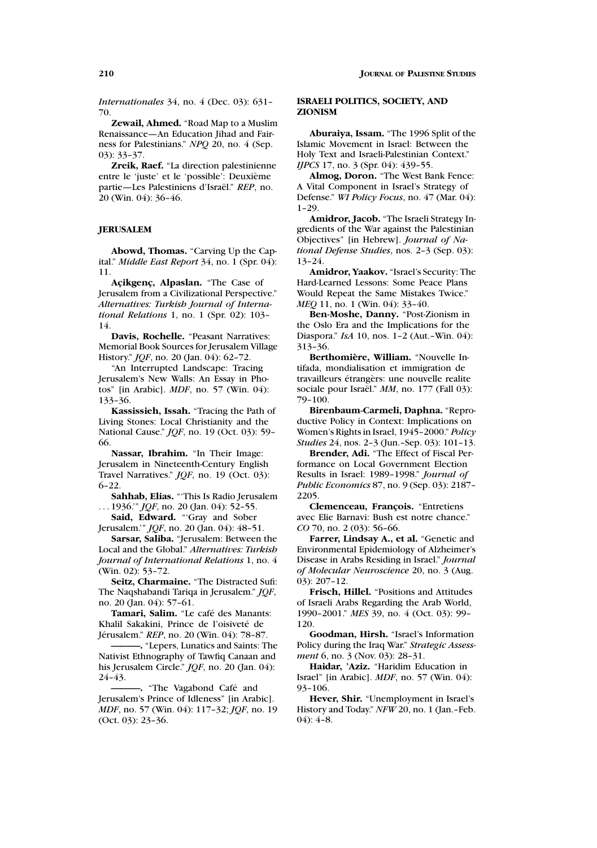*Internationales* 34, no. 4 (Dec. 03): 631– 70.

**Zewail, Ahmed.** "Road Map to a Muslim Renaissance—An Education Jihad and Fairness for Palestinians." *NPQ* 20, no. 4 (Sep. 03): 33–37.

**Zreik, Raef.** "La direction palestinienne entre le 'juste' et le 'possible': Deuxième partie—Les Palestiniens d'Israël." REP, no. 20 (Win. 04): 36–46.

# **JERUSALEM**

**Abowd, Thomas.** "Carving Up the Capital." *Middle East Report* 34, no. 1 (Spr. 04): 11.

Açikgenç, Alpaslan. "The Case of Jerusalem from a Civilizational Perspective." *Alternatives: Turkish Journal of International Relations* 1, no. 1 (Spr. 02): 103– 14.

**Davis, Rochelle.** "Peasant Narratives: Memorial Book Sources for Jerusalem Village History." *JQF*, no. 20 (Jan. 04): 62–72.

"An Interrupted Landscape: Tracing Jerusalem's New Walls: An Essay in Photos" [in Arabic]. *MDF*, no. 57 (Win. 04): 133–36.

**Kassissieh, Issah.** "Tracing the Path of Living Stones: Local Christianity and the National Cause." *JQF*, no. 19 (Oct. 03): 59– 66.

**Nassar, Ibrahim.** "In Their Image: Jerusalem in Nineteenth-Century English Travel Narratives." *JQF*, no. 19 (Oct. 03): 6–22.

**Sahhab, Elias.** "'This Is Radio Jerusalem ... 1936.'" *JQF*, no. 20 (Jan. 04): 52–55.

Said, Edward. "Gray and Sober Jerusalem.'" *JQF*, no. 20 (Jan. 04): 48–51.

**Sarsar, Saliba.** "Jerusalem: Between the Local and the Global." *Alternatives: Turkish Journal of International Relations* 1, no. 4 (Win. 02): 53–72.

**Seitz, Charmaine.** "The Distracted Sufi: The Naqshabandi Tariqa in Jerusalem." *JQF*, no. 20 (Jan. 04): 57–61.

Tamari, Salim. "Le café des Manants: Khalil Sakakini, Prince de l'oisiveté de Jérusalem." *REP*, no. 20 (Win. 04): 78-87.

**———.** "Lepers, Lunatics and Saints: The Nativist Ethnography of Tawfiq Canaan and his Jerusalem Circle." *JQF*, no. 20 (Jan. 04): 24–43.

. "The Vagabond Café and Jerusalem's Prince of Idleness" [in Arabic]. *MDF*, no. 57 (Win. 04): 117–32; *JQF*, no. 19 (Oct. 03): 23–36.

## **ISRAELI POLITICS, SOCIETY, AND ZIONISM**

**Aburaiya, Issam.** "The 1996 Split of the Islamic Movement in Israel: Between the Holy Text and Israeli-Palestinian Context." *IJPCS* 17, no. 3 (Spr. 04): 439-55.

**Almog, Doron.** "The West Bank Fence: A Vital Component in Israel's Strategy of Defense." *WI Policy Focus*, no. 47 (Mar. 04): 1–29.

**Amidror, Jacob.** "The Israeli Strategy Ingredients of the War against the Palestinian Objectives" [in Hebrew]. *Journal of National Defense Studies*, nos. 2–3 (Sep. 03): 13–24.

**Amidror, Yaakov.** "Israel's Security: The Hard-Learned Lessons: Some Peace Plans Would Repeat the Same Mistakes Twice." *MEQ* 11, no. 1 (Win. 04): 33-40.

**Ben-Moshe, Danny.** "Post-Zionism in the Oslo Era and the Implications for the Diaspora." *IsA* 10, nos. 1–2 (Aut.–Win. 04): 313–36.

**Berthomiere, William. `** "Nouvelle Intifada, mondialisation et immigration de travailleurs étrangèrs: une nouvelle realite sociale pour Israël." MM, no. 177 (Fall 03): 79–100.

**Birenbaum-Carmeli, Daphna.** "Reproductive Policy in Context: Implications on Women's Rights in Israel, 1945–2000." *Policy Studies* 24, nos. 2–3 (Jun.–Sep. 03): 101–13.

**Brender, Adi.** "The Effect of Fiscal Performance on Local Government Election Results in Israel: 1989–1998." *Journal of Public Economics* 87, no. 9 (Sep. 03): 2187– 2205.

Clemenceau, François. "Entretiens avec Elie Barnavi: Bush est notre chance." *CO* 70, no. 2 (03): 56–66.

**Farrer, Lindsay A., et al.** "Genetic and Environmental Epidemiology of Alzheimer's Disease in Arabs Residing in Israel." *Journal of Molecular Neuroscience* 20, no. 3 (Aug. 03): 207–12.

**Frisch, Hillel.** "Positions and Attitudes of Israeli Arabs Regarding the Arab World, 1990–2001." *MES* 39, no. 4 (Oct. 03): 99– 120.

**Goodman, Hirsh.** "Israel's Information Policy during the Iraq War." *Strategic Assessment* 6, no. 3 (Nov. 03): 28-31.

**Haidar, 'Aziz.** "Haridim Education in Israel" [in Arabic]. *MDF*, no. 57 (Win. 04): 93–106.

**Hever, Shir.** "Unemployment in Israel's History and Today." *NFW* 20, no. 1 (Jan.–Feb. 04): 4–8.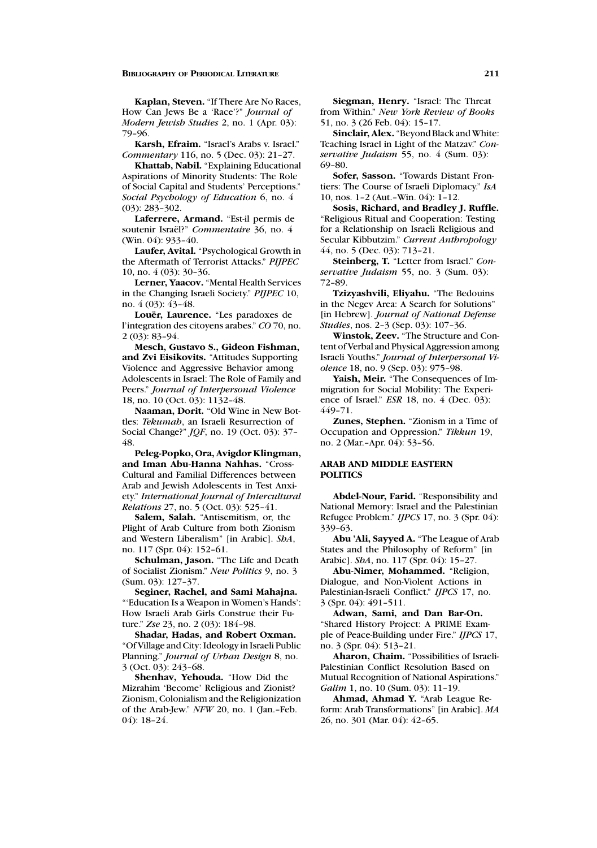**Kaplan, Steven.** "If There Are No Races, How Can Jews Be a 'Race'?" *Journal of Modern Jewish Studies* 2, no. 1 (Apr. 03): 79–96.

**Karsh, Efraim.** "Israel's Arabs v. Israel." *Commentary* 116, no. 5 (Dec. 03): 21–27.

**Khattab, Nabil.** "Explaining Educational Aspirations of Minority Students: The Role of Social Capital and Students' Perceptions." *Social Psychology of Education* 6, no. 4 (03): 283–302.

**Laferrere, Armand.** "Est-il permis de soutenir Israël?" *Commentaire* 36, no. 4 (Win. 04): 933–40.

**Laufer, Avital.** "Psychological Growth in the Aftermath of Terrorist Attacks." *PIJPEC* 10, no. 4 (03): 30–36.

**Lerner, Yaacov.** "Mental Health Services in the Changing Israeli Society." *PIJPEC* 10, no. 4 (03): 43–48.

Louër, Laurence. "Les paradoxes de l'integration des citoyens arabes." *CO* 70, no. 2 (03): 83–94.

**Mesch, Gustavo S., Gideon Fishman, and Zvi Eisikovits.** "Attitudes Supporting Violence and Aggressive Behavior among Adolescents in Israel: The Role of Family and Peers." *Journal of Interpersonal Violence* 18, no. 10 (Oct. 03): 1132–48.

**Naaman, Dorit.** "Old Wine in New Bottles: *Tekumah*, an Israeli Resurrection of Social Change?" *JQF*, no. 19 (Oct. 03): 37– 48.

**Peleg-Popko, Ora, Avigdor Klingman, and Iman Abu-Hanna Nahhas.** "Cross-Cultural and Familial Differences between Arab and Jewish Adolescents in Test Anxiety." *International Journal of Intercultural Relations* 27, no. 5 (Oct. 03): 525–41.

**Salem, Salah.** "Antisemitism, or, the Plight of Arab Culture from both Zionism and Western Liberalism" [in Arabic]. *ShA*, no. 117 (Spr. 04): 152–61.

**Schulman, Jason.** "The Life and Death of Socialist Zionism." *New Politics* 9, no. 3 (Sum. 03): 127–37.

**Seginer, Rachel, and Sami Mahajna.** "'Education Is a Weapon in Women's Hands': How Israeli Arab Girls Construe their Future." *Zse* 23, no. 2 (03): 184–98.

**Shadar, Hadas, and Robert Oxman.** "Of Village and City: Ideology in Israeli Public Planning." *Journal of Urban Design* 8, no. 3 (Oct. 03): 243–68.

**Shenhav, Yehouda.** "How Did the Mizrahim 'Become' Religious and Zionist? Zionism, Colonialism and the Religionization of the Arab-Jew." *NFW* 20, no. 1 (Jan.–Feb. 04): 18–24.

**Siegman, Henry.** "Israel: The Threat from Within." *New York Review of Books* 51, no. 3 (26 Feb. 04): 15–17.

**Sinclair, Alex.** "Beyond Black and White: Teaching Israel in Light of the Matzav." *Conservative Judaism* 55, no. 4 (Sum. 03): 69–80.

**Sofer, Sasson.** "Towards Distant Frontiers: The Course of Israeli Diplomacy." *IsA* 10, nos. 1–2 (Aut.–Win. 04): 1–12.

**Sosis, Richard, and Bradley J. Ruffle.** "Religious Ritual and Cooperation: Testing for a Relationship on Israeli Religious and Secular Kibbutzim." *Current Anthropology* 44, no. 5 (Dec. 03): 713–21.

**Steinberg, T.** "Letter from Israel." *Conservative Judaism* 55, no. 3 (Sum. 03): 72–89.

**Tzizyashvili, Eliyahu.** "The Bedouins in the Negev Area: A Search for Solutions" [in Hebrew]. *Journal of National Defense Studies*, nos. 2–3 (Sep. 03): 107–36.

**Winstok, Zeev.** "The Structure and Content of Verbal and Physical Aggression among Israeli Youths." *Journal of Interpersonal Violence* 18, no. 9 (Sep. 03): 975–98.

**Yaish, Meir.** "The Consequences of Immigration for Social Mobility: The Experience of Israel." *ESR* 18, no. 4 (Dec. 03): 449–71.

**Zunes, Stephen.** "Zionism in a Time of Occupation and Oppression." *Tikkun* 19, no. 2 (Mar.–Apr. 04): 53–56.

# **ARAB AND MIDDLE EASTERN POLITICS**

**Abdel-Nour, Farid.** "Responsibility and National Memory: Israel and the Palestinian Refugee Problem." *IJPCS* 17, no. 3 (Spr. 04): 339–63.

**Abu 'Ali, Sayyed A.** "The League of Arab States and the Philosophy of Reform" [in Arabic]. *ShA*, no. 117 (Spr. 04): 15–27.

**Abu-Nimer, Mohammed.** "Religion, Dialogue, and Non-Violent Actions in Palestinian-Israeli Conflict." *IJPCS* 17, no. 3 (Spr. 04): 491–511.

**Adwan, Sami, and Dan Bar-On.** "Shared History Project: A PRIME Example of Peace-Building under Fire." *IJPCS* 17, no. 3 (Spr. 04): 513–21.

**Aharon, Chaim.** "Possibilities of Israeli-Palestinian Conflict Resolution Based on Mutual Recognition of National Aspirations." *Galim* 1, no. 10 (Sum. 03): 11–19.

**Ahmad, Ahmad Y.** "Arab League Reform: Arab Transformations" [in Arabic]. *MA* 26, no. 301 (Mar. 04): 42–65.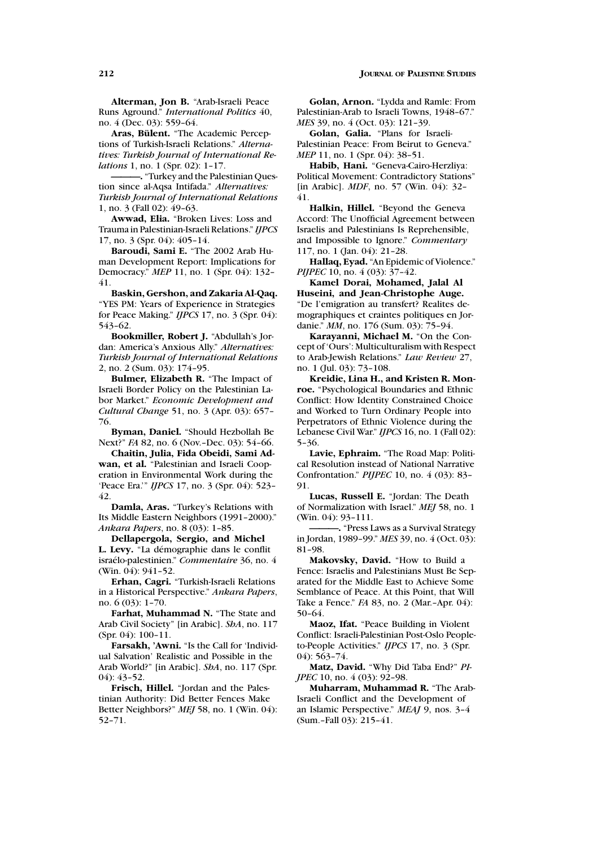**Alterman, Jon B.** "Arab-Israeli Peace Runs Aground." *International Politics* 40, no. 4 (Dec. 03): 559–64.

**Aras, Bulent. ¨** "The Academic Perceptions of Turkish-Israeli Relations." *Alternatives: Turkish Journal of International Relations* 1, no. 1 (Spr. 02): 1–17.

**———.** "Turkey and the Palestinian Question since al-Aqsa Intifada." *Alternatives: Turkish Journal of International Relations* 1, no. 3 (Fall 02): 49–63.

**Awwad, Elia.** "Broken Lives: Loss and Trauma in Palestinian-Israeli Relations." *IJPCS* 17, no. 3 (Spr. 04): 405–14.

**Baroudi, Sami E.** "The 2002 Arab Human Development Report: Implications for Democracy." *MEP* 11, no. 1 (Spr. 04): 132– 41.

**Baskin, Gershon, and Zakaria Al-Qaq.** "YES PM: Years of Experience in Strategies for Peace Making." *IJPCS* 17, no. 3 (Spr. 04): 543–62.

**Bookmiller, Robert J.** "Abdullah's Jordan: America's Anxious Ally." *Alternatives: Turkish Journal of International Relations* 2, no. 2 (Sum. 03): 174–95.

**Bulmer, Elizabeth R.** "The Impact of Israeli Border Policy on the Palestinian Labor Market." *Economic Development and Cultural Change* 51, no. 3 (Apr. 03): 657– 76.

**Byman, Daniel.** "Should Hezbollah Be Next?" *FA* 82, no. 6 (Nov.–Dec. 03): 54–66.

**Chaitin, Julia, Fida Obeidi, Sami Adwan, et al.** "Palestinian and Israeli Cooperation in Environmental Work during the 'Peace Era.'" *IJPCS* 17, no. 3 (Spr. 04): 523– 42.

**Damla, Aras.** "Turkey's Relations with Its Middle Eastern Neighbors (1991–2000)." *Ankara Papers*, no. 8 (03): 1–85.

**Dellapergola, Sergio, and Michel** L. Levy. "La démographie dans le conflit isra´elo-palestinien." *Commentaire* 36, no. 4 (Win. 04): 941–52.

**Erhan, Cagri.** "Turkish-Israeli Relations in a Historical Perspective." *Ankara Papers*, no. 6 (03): 1–70.

**Farhat, Muhammad N.** "The State and Arab Civil Society" [in Arabic]. *ShA*, no. 117 (Spr. 04): 100–11.

**Farsakh, 'Awni.** "Is the Call for 'Individual Salvation' Realistic and Possible in the Arab World?" [in Arabic]. *ShA*, no. 117 (Spr. 04): 43–52.

**Frisch, Hillel.** "Jordan and the Palestinian Authority: Did Better Fences Make Better Neighbors?" *MEJ* 58, no. 1 (Win. 04): 52–71.

**Golan, Arnon.** "Lydda and Ramle: From Palestinian-Arab to Israeli Towns, 1948–67." *MES* 39, no. 4 (Oct. 03): 121–39.

**Golan, Galia.** "Plans for Israeli-Palestinian Peace: From Beirut to Geneva." *MEP* 11, no. 1 (Spr. 04): 38-51.

**Habib, Hani.** "Geneva-Cairo-Herzliya: Political Movement: Contradictory Stations" [in Arabic]. *MDF*, no. 57 (Win. 04): 32– 41.

**Halkin, Hillel.** "Beyond the Geneva Accord: The Unofficial Agreement between Israelis and Palestinians Is Reprehensible, and Impossible to Ignore." *Commentary* 117, no. 1 (Jan. 04): 21–28.

**Hallaq, Eyad.** "An Epidemic of Violence." *PIJPEC* 10, no. 4 (03): 37-42.

**Kamel Dorai, Mohamed, Jalal Al Huseini, and Jean-Christophe Auge.** "De l'emigration au transfert? Realites demographiques et craintes politiques en Jordanie." *MM*, no. 176 (Sum. 03): 75–94.

**Karayanni, Michael M.** "On the Concept of 'Ours': Multiculturalism with Respect to Arab-Jewish Relations." *Law Review* 27, no. 1 (Jul. 03): 73–108.

**Kreidie, Lina H., and Kristen R. Monroe.** "Psychological Boundaries and Ethnic Conflict: How Identity Constrained Choice and Worked to Turn Ordinary People into Perpetrators of Ethnic Violence during the Lebanese Civil War." *IJPCS* 16, no. 1 (Fall 02): 5–36.

**Lavie, Ephraim.** "The Road Map: Political Resolution instead of National Narrative Confrontation." *PIJPEC* 10, no. 4 (03): 83– 91.

**Lucas, Russell E.** "Jordan: The Death of Normalization with Israel." *MEJ* 58, no. 1 (Win. 04): 93–111.

**———.** "Press Laws as a Survival Strategy in Jordan, 1989–99." *MES* 39, no. 4 (Oct. 03): 81–98.

**Makovsky, David.** "How to Build a Fence: Israelis and Palestinians Must Be Separated for the Middle East to Achieve Some Semblance of Peace. At this Point, that Will Take a Fence." *FA* 83, no. 2 (Mar.–Apr. 04): 50–64.

**Maoz, Ifat.** "Peace Building in Violent Conflict: Israeli-Palestinian Post-Oslo Peopleto-People Activities." *IJPCS* 17, no. 3 (Spr. 04): 563–74.

**Matz, David.** "Why Did Taba End?" *PI-JPEC* 10, no. 4 (03): 92-98.

**Muharram, Muhammad R.** "The Arab-Israeli Conflict and the Development of an Islamic Perspective." *MEAJ* 9, nos. 3–4 (Sum.–Fall 03): 215–41.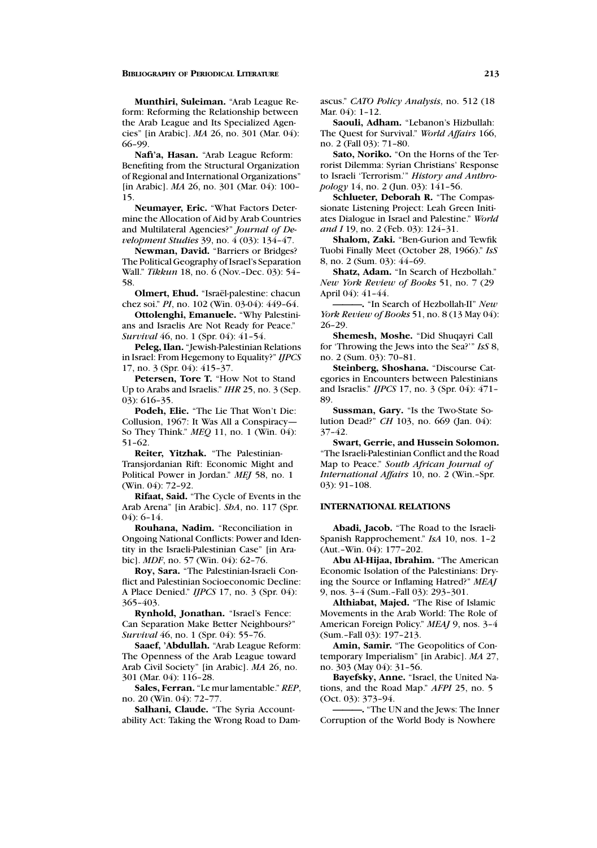**Munthiri, Suleiman.** "Arab League Reform: Reforming the Relationship between the Arab League and Its Specialized Agencies" [in Arabic]. *MA* 26, no. 301 (Mar. 04): 66–99.

**Nafi'a, Hasan.** "Arab League Reform: Benefiting from the Structural Organization of Regional and International Organizations" [in Arabic]. *MA* 26, no. 301 (Mar. 04): 100– 15.

**Neumayer, Eric.** "What Factors Determine the Allocation of Aid by Arab Countries and Multilateral Agencies?" *Journal of Development Studies* 39, no. 4 (03): 134–47.

**Newman, David.** "Barriers or Bridges? The Political Geography of Israel's Separation Wall." *Tikkun* 18, no. 6 (Nov.–Dec. 03): 54– 58.

**Olmert, Ehud.** "Israël-palestine: chacun chez soi." *PI*, no. 102 (Win. 03-04): 449–64.

**Ottolenghi, Emanuele.** "Why Palestinians and Israelis Are Not Ready for Peace." *Survival* 46, no. 1 (Spr. 04): 41–54.

**Peleg, Ilan.** "Jewish-Palestinian Relations in Israel: From Hegemony to Equality?" *IJPCS* 17, no. 3 (Spr. 04): 415–37.

**Petersen, Tore T.** "How Not to Stand Up to Arabs and Israelis." *IHR* 25, no. 3 (Sep. 03): 616–35.

**Podeh, Elie.** "The Lie That Won't Die: Collusion, 1967: It Was All a Conspiracy— So They Think." *MEQ* 11, no. 1 (Win. 04): 51–62.

**Reiter, Yitzhak.** "The Palestinian-Transjordanian Rift: Economic Might and Political Power in Jordan." *MEJ* 58, no. 1 (Win. 04): 72–92.

**Rifaat, Said.** "The Cycle of Events in the Arab Arena" [in Arabic]. *ShA*, no. 117 (Spr.  $04$   $6-14$ 

**Rouhana, Nadim.** "Reconciliation in Ongoing National Conflicts: Power and Identity in the Israeli-Palestinian Case" [in Arabic]. *MDF*, no. 57 (Win. 04): 62–76.

**Roy, Sara.** "The Palestinian-Israeli Conflict and Palestinian Socioeconomic Decline: A Place Denied." *IJPCS* 17, no. 3 (Spr. 04): 365–403.

**Rynhold, Jonathan.** "Israel's Fence: Can Separation Make Better Neighbours?" *Survival* 46, no. 1 (Spr. 04): 55–76.

**Saaef, 'Abdullah.** "Arab League Reform: The Openness of the Arab League toward Arab Civil Society" [in Arabic]. *MA* 26, no. 301 (Mar. 04): 116–28.

**Sales, Ferran.** "Le mur lamentable." *REP*, no. 20 (Win. 04): 72–77.

**Salhani, Claude.** "The Syria Accountability Act: Taking the Wrong Road to Damascus." *CATO Policy Analysis*, no. 512 (18 Mar. 04): 1–12.

**Saouli, Adham.** "Lebanon's Hizbullah: The Quest for Survival." *World Affairs* 166, no. 2 (Fall 03): 71–80.

**Sato, Noriko.** "On the Horns of the Terrorist Dilemma: Syrian Christians' Response to Israeli 'Terrorism.'" *History and Anthropology* 14, no. 2 (Jun. 03): 141–56.

**Schlueter, Deborah R.** "The Compassionate Listening Project: Leah Green Initiates Dialogue in Israel and Palestine." *World and I* 19, no. 2 (Feb. 03): 124–31.

**Shalom, Zaki.** "Ben-Gurion and Tewfik Tuobi Finally Meet (October 28, 1966)." *IsS* 8, no. 2 (Sum. 03): 44–69.

**Shatz, Adam.** "In Search of Hezbollah." *New York Review of Books* 51, no. 7 (29 April 04): 41–44.

**———.** "In Search of Hezbollah-II" *New York Review of Books* 51, no. 8 (13 May 04): 26–29.

**Shemesh, Moshe.** "Did Shuqayri Call for 'Throwing the Jews into the Sea?'" *IsS* 8, no. 2 (Sum. 03): 70–81.

**Steinberg, Shoshana.** "Discourse Categories in Encounters between Palestinians and Israelis." *IJPCS* 17, no. 3 (Spr. 04): 471– 89.

**Sussman, Gary.** "Is the Two-State Solution Dead?" *CH* 103, no. 669 (Jan. 04): 37–42.

**Swart, Gerrie, and Hussein Solomon.** "The Israeli-Palestinian Conflict and the Road Map to Peace." *South African Journal of International Affairs* 10, no. 2 (Win.–Spr. 03): 91–108.

# **INTERNATIONAL RELATIONS**

**Abadi, Jacob.** "The Road to the Israeli-Spanish Rapprochement." *IsA* 10, nos. 1–2 (Aut.–Win. 04): 177–202.

**Abu Al-Hijaa, Ibrahim.** "The American Economic Isolation of the Palestinians: Drying the Source or Inflaming Hatred?" *MEAJ* 9, nos. 3–4 (Sum.–Fall 03): 293–301.

**Althiabat, Majed.** "The Rise of Islamic Movements in the Arab World: The Role of American Foreign Policy." *MEAJ* 9, nos. 3–4 (Sum.–Fall 03): 197–213.

**Amin, Samir.** "The Geopolitics of Contemporary Imperialism" [in Arabic]. *MA* 27, no. 303 (May 04): 31–56.

**Bayefsky, Anne.** "Israel, the United Nations, and the Road Map." *AFPI* 25, no. 5 (Oct. 03): 373–94.

**———.** "The UN and the Jews: The Inner Corruption of the World Body is Nowhere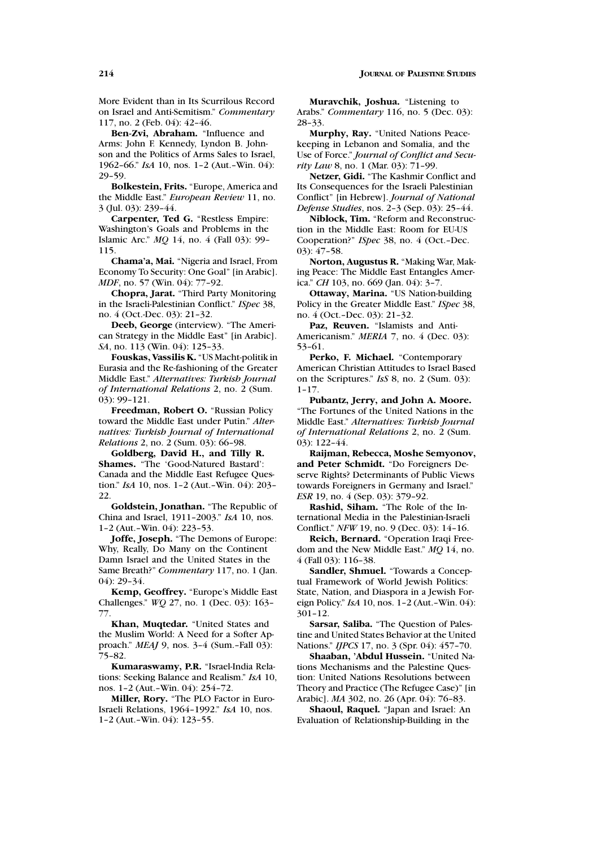More Evident than in Its Scurrilous Record on Israel and Anti-Semitism." *Commentary* 117, no. 2 (Feb. 04): 42–46.

**Ben-Zvi, Abraham.** "Influence and Arms: John F. Kennedy, Lyndon B. Johnson and the Politics of Arms Sales to Israel, 1962–66." *IsA* 10, nos. 1–2 (Aut.–Win. 04): 29–59.

**Bolkestein, Frits.** "Europe, America and the Middle East." *European Review* 11, no. 3 (Jul. 03): 239–44.

**Carpenter, Ted G.** "Restless Empire: Washington's Goals and Problems in the Islamic Arc." *MQ* 14, no. 4 (Fall 03): 99– 115.

**Chama'a, Mai.** "Nigeria and Israel, From Economy To Security: One Goal" [in Arabic]. *MDF*, no. 57 (Win. 04): 77-92.

**Chopra, Jarat.** "Third Party Monitoring in the Israeli-Palestinian Conflict." *ISpec* 38, no. 4 (Oct.-Dec. 03): 21–32.

**Deeb, George** (interview). "The American Strategy in the Middle East" [in Arabic]. *SA*, no. 113 (Win. 04): 125–33.

**Fouskas, Vassilis K.** "US Macht-politik in Eurasia and the Re-fashioning of the Greater Middle East." *Alternatives: Turkish Journal of International Relations* 2, no. 2 (Sum. 03): 99–121.

**Freedman, Robert O.** "Russian Policy toward the Middle East under Putin." *Alternatives: Turkish Journal of International Relations* 2, no. 2 (Sum. 03): 66–98.

**Goldberg, David H., and Tilly R. Shames.** "The 'Good-Natured Bastard': Canada and the Middle East Refugee Question." *IsA* 10, nos. 1–2 (Aut.–Win. 04): 203– 22.

**Goldstein, Jonathan.** "The Republic of China and Israel, 1911–2003." *IsA* 10, nos. 1–2 (Aut.–Win. 04): 223–53.

**Joffe, Joseph.** "The Demons of Europe: Why, Really, Do Many on the Continent Damn Israel and the United States in the Same Breath?" *Commentary* 117, no. 1 (Jan. 04): 29–34.

**Kemp, Geoffrey.** "Europe's Middle East Challenges." *WQ* 27, no. 1 (Dec. 03): 163– 77.

**Khan, Muqtedar.** "United States and the Muslim World: A Need for a Softer Approach." *MEAJ* 9, nos. 3–4 (Sum.–Fall 03): 75–82.

**Kumaraswamy, P.R.** "Israel-India Relations: Seeking Balance and Realism." *IsA* 10, nos. 1–2 (Aut.–Win. 04): 254–72.

**Miller, Rory.** "The PLO Factor in Euro-Israeli Relations, 1964–1992." *IsA* 10, nos. 1–2 (Aut.–Win. 04): 123–55.

**Muravchik, Joshua.** "Listening to Arabs." *Commentary* 116, no. 5 (Dec. 03): 28–33.

**Murphy, Ray.** "United Nations Peacekeeping in Lebanon and Somalia, and the Use of Force." *Journal of Conflict and Security Law* 8, no. 1 (Mar. 03): 71–99.

**Netzer, Gidi.** "The Kashmir Conflict and Its Consequences for the Israeli Palestinian Conflict" [in Hebrew]. *Journal of National Defense Studies*, nos. 2–3 (Sep. 03): 25–44.

**Niblock, Tim.** "Reform and Reconstruction in the Middle East: Room for EU-US Cooperation?" *ISpec* 38, no. 4 (Oct.–Dec. 03): 47–58.

**Norton, Augustus R.** "Making War, Making Peace: The Middle East Entangles America." *CH* 103, no. 669 (Jan. 04): 3–7.

**Ottaway, Marina.** "US Nation-building Policy in the Greater Middle East." *ISpec* 38, no. 4 (Oct.–Dec. 03): 21–32.

**Paz, Reuven.** "Islamists and Anti-Americanism." *MERIA* 7, no. 4 (Dec. 03): 53–61.

**Perko, F. Michael.** "Contemporary American Christian Attitudes to Israel Based on the Scriptures." *IsS* 8, no. 2 (Sum. 03): 1–17.

**Pubantz, Jerry, and John A. Moore.** "The Fortunes of the United Nations in the Middle East." *Alternatives: Turkish Journal of International Relations* 2, no. 2 (Sum. 03): 122–44.

**Raijman, Rebecca, Moshe Semyonov, and Peter Schmidt.** "Do Foreigners Deserve Rights? Determinants of Public Views towards Foreigners in Germany and Israel." *ESR* 19, no. 4 (Sep. 03): 379–92.

**Rashid, Siham.** "The Role of the International Media in the Palestinian-Israeli Conflict." *NFW* 19, no. 9 (Dec. 03): 14–16.

**Reich, Bernard.** "Operation Iraqi Freedom and the New Middle East." *MQ* 14, no. 4 (Fall 03): 116–38.

**Sandler, Shmuel.** "Towards a Conceptual Framework of World Jewish Politics: State, Nation, and Diaspora in a Jewish Foreign Policy." *IsA* 10, nos. 1–2 (Aut.–Win. 04): 301–12.

**Sarsar, Saliba.** "The Question of Palestine and United States Behavior at the United Nations." *IJPCS* 17, no. 3 (Spr. 04): 457–70.

**Shaaban, 'Abdul Hussein.** "United Nations Mechanisms and the Palestine Question: United Nations Resolutions between Theory and Practice (The Refugee Case)" [in Arabic]. *MA* 302, no. 26 (Apr. 04): 76–83.

**Shaoul, Raquel.** "Japan and Israel: An Evaluation of Relationship-Building in the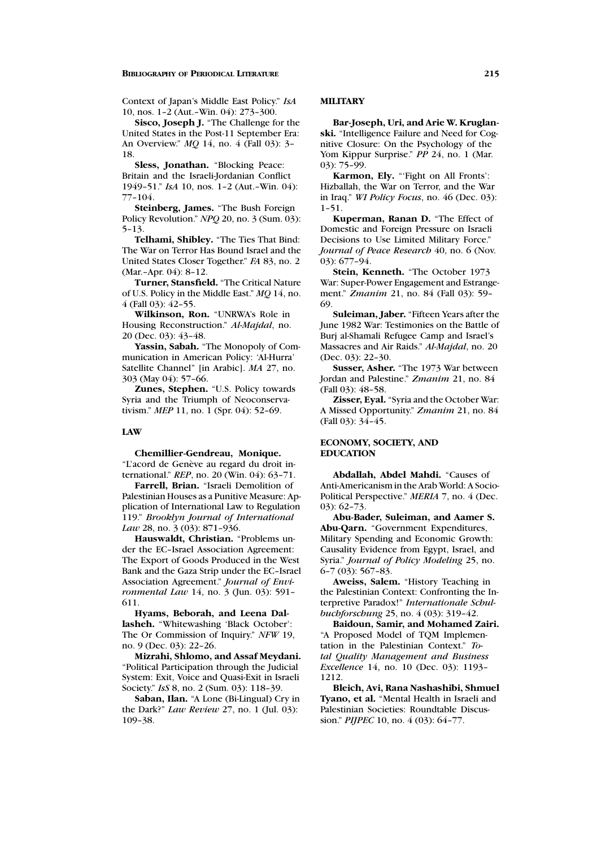Context of Japan's Middle East Policy." *IsA* 10, nos. 1–2 (Aut.–Win. 04): 273–300.

**Sisco, Joseph J.** "The Challenge for the United States in the Post-11 September Era: An Overview." *MQ* 14, no. 4 (Fall 03): 3– 18.

**Sless, Jonathan.** "Blocking Peace: Britain and the Israeli-Jordanian Conflict 1949–51." *IsA* 10, nos. 1–2 (Aut.–Win. 04): 77–104.

**Steinberg, James.** "The Bush Foreign Policy Revolution." *NPQ* 20, no. 3 (Sum. 03): 5–13.

**Telhami, Shibley.** "The Ties That Bind: The War on Terror Has Bound Israel and the United States Closer Together." *FA* 83, no. 2 (Mar.-Apr. 04): 8-12.

**Turner, Stansfield.** "The Critical Nature of U.S. Policy in the Middle East." *MQ* 14, no. 4 (Fall 03): 42–55.

**Wilkinson, Ron.** "UNRWA's Role in Housing Reconstruction." *Al-Majdal*, no. 20 (Dec. 03): 43–48.

**Yassin, Sabah.** "The Monopoly of Communication in American Policy: 'Al-Hurra' Satellite Channel" [in Arabic]. *MA* 27, no. 303 (May 04): 57–66.

**Zunes, Stephen.** "U.S. Policy towards Syria and the Triumph of Neoconservativism." *MEP* 11, no. 1 (Spr. 04): 52–69.

#### **LAW**

**Chemillier-Gendreau, Monique.**

"L'acord de Genève au regard du droit international." *REP*, no. 20 (Win. 04): 63–71.

**Farrell, Brian.** "Israeli Demolition of Palestinian Houses as a Punitive Measure: Application of International Law to Regulation 119." *Brooklyn Journal of International* Law 28, no. 3 (03): 871-936.

**Hauswaldt, Christian.** "Problems under the EC–Israel Association Agreement: The Export of Goods Produced in the West Bank and the Gaza Strip under the EC–Israel Association Agreement." *Journal of Environmental Law* 14, no. 3 (Jun. 03): 591– 611.

**Hyams, Beborah, and Leena Dallasheh.** "Whitewashing 'Black October': The Or Commission of Inquiry." *NFW* 19, no. 9 (Dec. 03): 22–26.

**Mizrahi, Shlomo, and Assaf Meydani.** "Political Participation through the Judicial System: Exit, Voice and Quasi-Exit in Israeli Society." *IsS* 8, no. 2 (Sum. 03): 118–39.

**Saban, Ilan.** "A Lone (Bi-Lingual) Cry in the Dark?" *Law Review* 27, no. 1 (Jul. 03): 109–38.

### **MILITARY**

**Bar-Joseph, Uri, and Arie W. Kruglanski.** "Intelligence Failure and Need for Cognitive Closure: On the Psychology of the Yom Kippur Surprise." *PP* 24, no. 1 (Mar. 03): 75–99.

**Karmon, Ely.** "'Fight on All Fronts': Hizballah, the War on Terror, and the War in Iraq." *WI Policy Focus*, no. 46 (Dec. 03): 1–51.

**Kuperman, Ranan D.** "The Effect of Domestic and Foreign Pressure on Israeli Decisions to Use Limited Military Force." *Journal of Peace Research* 40, no. 6 (Nov. 03): 677–94.

**Stein, Kenneth.** "The October 1973 War: Super-Power Engagement and Estrangement." *Zmanim* 21, no. 84 (Fall 03): 59– 69.

**Suleiman, Jaber.** "Fifteen Years after the June 1982 War: Testimonies on the Battle of Burj al-Shamali Refugee Camp and Israel's Massacres and Air Raids." *Al-Majdal*, no. 20 (Dec. 03): 22–30.

**Susser, Asher.** "The 1973 War between Jordan and Palestine." *Zmanim* 21, no. 84 (Fall 03): 48–58.

**Zisser, Eyal.** "Syria and the October War: A Missed Opportunity." *Zmanim* 21, no. 84 (Fall 03): 34–45.

# **ECONOMY, SOCIETY, AND EDUCATION**

**Abdallah, Abdel Mahdi.** "Causes of Anti-Americanism in the Arab World: A Socio-Political Perspective." *MERIA* 7, no. 4 (Dec. 03): 62–73.

**Abu-Bader, Suleiman, and Aamer S. Abu-Qarn.** "Government Expenditures, Military Spending and Economic Growth: Causality Evidence from Egypt, Israel, and Syria." *Journal of Policy Modeling* 25, no. 6–7 (03): 567–83.

**Aweiss, Salem.** "History Teaching in the Palestinian Context: Confronting the Interpretive Paradox!" *Internationale Schulbuchforschung* 25, no. 4 (03): 319–42.

**Baidoun, Samir, and Mohamed Zairi.** "A Proposed Model of TQM Implementation in the Palestinian Context." *Total Quality Management and Business Excellence* 14, no. 10 (Dec. 03): 1193– 1212.

**Bleich, Avi, Rana Nashashibi, Shmuel Tyano, et al.** "Mental Health in Israeli and Palestinian Societies: Roundtable Discussion." *PIJPEC* 10, no. 4 (03): 64–77.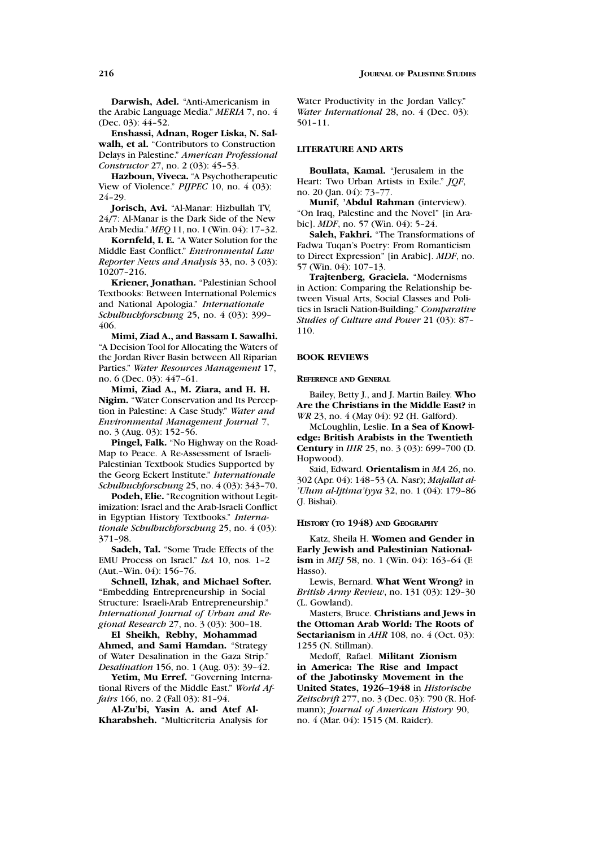**Darwish, Adel.** "Anti-Americanism in the Arabic Language Media." *MERIA* 7, no. 4 (Dec. 03): 44–52.

**Enshassi, Adnan, Roger Liska, N. Salwalh, et al.** "Contributors to Construction Delays in Palestine." *American Professional Constructor* 27, no. 2 (03): 45–53.

**Hazboun, Viveca.** "A Psychotherapeutic View of Violence." *PIJPEC* 10, no. 4 (03): 24–29.

**Jorisch, Avi.** "Al-Manar: Hizbullah TV, 24/7: Al-Manar is the Dark Side of the New Arab Media." *MEQ*11, no. 1 (Win. 04): 17–32.

**Kornfeld, I. E.** "A Water Solution for the Middle East Conflict." *Environmental Law Reporter News and Analysis* 33, no. 3 (03): 10207–216.

**Kriener, Jonathan.** "Palestinian School Textbooks: Between International Polemics and National Apologia." *Internationale Schulbuchforschung* 25, no. 4 (03): 399– 406.

**Mimi, Ziad A., and Bassam I. Sawalhi.** "A Decision Tool for Allocating the Waters of the Jordan River Basin between All Riparian Parties." *Water Resources Management* 17, no. 6 (Dec. 03): 447–61.

**Mimi, Ziad A., M. Ziara, and H. H. Nigim.** "Water Conservation and Its Perception in Palestine: A Case Study." *Water and Environmental Management Journal* 7, no. 3 (Aug. 03): 152–56.

**Pingel, Falk.** "No Highway on the Road-Map to Peace. A Re-Assessment of Israeli-Palestinian Textbook Studies Supported by the Georg Eckert Institute." *Internationale Schulbuchforschung* 25, no. 4 (03): 343–70.

**Podeh, Elie.** "Recognition without Legitimization: Israel and the Arab-Israeli Conflict in Egyptian History Textbooks." *Internationale Schulbuchforschung* 25, no. 4 (03): 371–98.

**Sadeh, Tal.** "Some Trade Effects of the EMU Process on Israel." *IsA* 10, nos. 1–2 (Aut.–Win. 04): 156–76.

**Schnell, Izhak, and Michael Softer.** "Embedding Entrepreneurship in Social Structure: Israeli-Arab Entrepreneurship." *International Journal of Urban and Regional Research* 27, no. 3 (03): 300–18.

**El Sheikh, Rebhy, Mohammad Ahmed, and Sami Hamdan.** "Strategy of Water Desalination in the Gaza Strip." *Desalination* 156, no. 1 (Aug. 03): 39–42.

**Yetim, Mu Erref.** "Governing International Rivers of the Middle East." *World Affairs* 166, no. 2 (Fall 03): 81-94.

**Al-Zu'bi, Yasin A. and Atef Al-Kharabsheh.** "Multicriteria Analysis for

Water Productivity in the Jordan Valley." *Water International* 28, no. 4 (Dec. 03): 501–11.

### **LITERATURE AND ARTS**

**Boullata, Kamal.** "Jerusalem in the Heart: Two Urban Artists in Exile." *JQF*, no. 20 (Jan. 04): 73–77.

**Munif, 'Abdul Rahman** (interview). "On Iraq, Palestine and the Novel" [in Arabic]. *MDF*, no. 57 (Win. 04): 5–24.

**Saleh, Fakhri.** "The Transformations of Fadwa Tuqan's Poetry: From Romanticism to Direct Expression" [in Arabic]. *MDF*, no. 57 (Win. 04): 107–13.

**Trajtenberg, Graciela.** "Modernisms in Action: Comparing the Relationship between Visual Arts, Social Classes and Politics in Israeli Nation-Building." *Comparative Studies of Culture and Power* 21 (03): 87– 110.

# **BOOK REVIEWS**

### **REFERENCE AND GENERAL**

Bailey, Betty J., and J. Martin Bailey. **Who Are the Christians in the Middle East?** in *WR* 23, no. 4 (May 04): 92 (H. Galford).

McLoughlin, Leslie. **In a Sea of Knowledge: British Arabists in the Twentieth Century** in *IHR* 25, no. 3 (03): 699–700 (D. Hopwood).

Said, Edward. **Orientalism** in *MA* 26, no. 302 (Apr. 04): 148–53 (A. Nasr); *Majallat al- 'Ulum al-Ijtima'iyya* 32, no. 1 (04): 179–86 (J. Bishai).

#### **HISTORY (TO 1948) AND GEOGRAPHY**

Katz, Sheila H. **Women and Gender in Early Jewish and Palestinian Nationalism** in *MEJ* 58, no. 1 (Win. 04): 163-64 (F. Hasso).

Lewis, Bernard. **What Went Wrong?** in *British Army Review*, no. 131 (03): 129–30 (L. Gowland).

Masters, Bruce. **Christians and Jews in the Ottoman Arab World: The Roots of Sectarianism** in *AHR* 108, no. 4 (Oct. 03): 1255 (N. Stillman).

Medoff, Rafael. **Militant Zionism in America: The Rise and Impact of the Jabotinsky Movement in the United States, 1926–1948** in *Historische Zeitschrift* 277, no. 3 (Dec. 03): 790 (R. Hofmann); *Journal of American History* 90, no. 4 (Mar. 04): 1515 (M. Raider).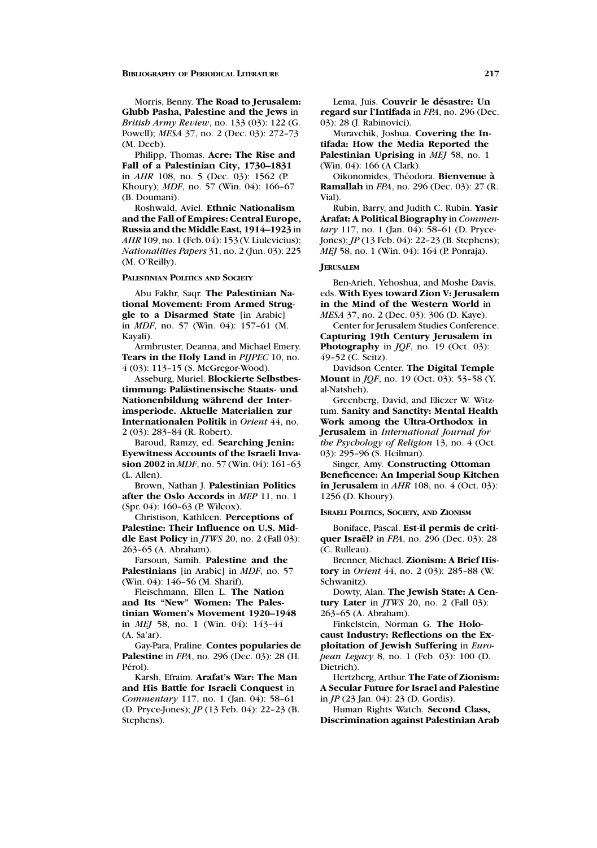Morris, Benny. **The Road to Jerusalem: Glubb Pasha, Palestine and the Jews** in *British Army Review*, no. 133 (03): 122 (G. Powell); *MESA* 37, no. 2 (Dec. 03): 272–73 (M. Deeb).

Philipp, Thomas. **Acre: The Rise and Fall of a Palestinian City, 1730–1831** in *AHR* 108, no. 5 (Dec. 03): 1562 (P. Khoury); *MDF*, no. 57 (Win. 04): 166–67 (B. Doumani).

Roshwald, Aviel. **Ethnic Nationalism and the Fall of Empires: Central Europe, Russia and the Middle East, 1914–1923** in *AHR* 109, no. 1 (Feb. 04): 153 (V. Liulevicius); *Nationalities Papers* 31, no. 2 (Jun. 03): 225 (M. O'Reilly).

**PALESTINIAN POLITICS AND SOCIETY**

Abu Fakhr, Saqr. **The Palestinian National Movement: From Armed Struggle to a Disarmed State** [in Arabic] in *MDF*, no. 57 (Win. 04): 157–61 (M. Kayali).

Armbruster, Deanna, and Michael Emery. **Tears in the Holy Land** in *PIJPEC* 10, no. 4 (03): 113–15 (S. McGregor-Wood).

Asseburg, Muriel. **Blockierte Selbstbestimmung: Palastinensische Staats- und ¨ Nationenbildung wahrend der Inter- ¨ imsperiode. Aktuelle Materialien zur Internationalen Politik** in *Orient* 44, no. 2 (03): 283–84 (R. Robert).

Baroud, Ramzy, ed. **Searching Jenin: Eyewitness Accounts of the Israeli Invasion 2002** in *MDF*, no. 57 (Win. 04): 161–63 (L. Allen).

Brown, Nathan J. **Palestinian Politics after the Oslo Accords** in *MEP* 11, no. 1 (Spr. 04): 160–63 (P. Wilcox).

Christison, Kathleen. **Perceptions of Palestine: Their Influence on U.S. Middle East Policy** in *JTWS* 20, no. 2 (Fall 03): 263–65 (A. Abraham).

Farsoun, Samih. **Palestine and the Palestinians** [in Arabic] in *MDF*, no. 57 (Win. 04): 146–56 (M. Sharif).

Fleischmann, Ellen L. **The Nation and Its "New" Women: The Palestinian Women's Movement 1920–1948** in *MEJ* 58, no. 1 (Win. 04): 143–44 (A. Sa'ar).

Gay-Para, Praline. **Contes popularies de Palestine** in *FPA*, no. 296 (Dec. 03): 28 (H. Pérol).

Karsh, Efraim. **Arafat's War: The Man and His Battle for Israeli Conquest** in *Commentary* 117, no. 1 (Jan. 04): 58–61 (D. Pryce-Jones); *JP* (13 Feb. 04): 22–23 (B. Stephens).

Lema, Juis. **Couvrir le desastre: Un ´ regard sur l'Intifada** in *FPA*, no. 296 (Dec. 03): 28 (J. Rabinovici).

Muravchik, Joshua. **Covering the Intifada: How the Media Reported the Palestinian Uprising** in *MEJ* 58, no. 1 (Win. 04): 166 (A Clark).

Oikonomides, Th´eodora. **Bienvenue a` Ramallah** in *FPA*, no. 296 (Dec. 03): 27 (R. Vial).

Rubin, Barry, and Judith C. Rubin. **Yasir Arafat: A Political Biography** in *Commentary* 117, no. 1 (Jan. 04): 58–61 (D. Pryce-Jones); *JP* (13 Feb. 04): 22–23 (B. Stephens); *MEJ* 58, no. 1 (Win. 04): 164 (P. Ponraja).

#### **JERUSALEM**

Ben-Arieh, Yehoshua, and Moshe Davis, eds. **With Eyes toward Zion V: Jerusalem in the Mind of the Western World** in *MESA* 37, no. 2 (Dec. 03): 306 (D. Kaye).

Center for Jerusalem Studies Conference. **Capturing 19th Century Jerusalem in Photography** in *JQF*, no. 19 (Oct. 03): 49–52 (C. Seitz).

Davidson Center. **The Digital Temple Mount** in *JQF*, no. 19 (Oct. 03): 53–58 (Y. al-Natsheh).

Greenberg, David, and Eliezer W. Witztum. **Sanity and Sanctity: Mental Health Work among the Ultra-Orthodox in Jerusalem** in *International Journal for the Psychology of Religion* 13, no. 4 (Oct. 03): 295–96 (S. Heilman).

Singer, Amy. **Constructing Ottoman Beneficence: An Imperial Soup Kitchen in Jerusalem** in *AHR* 108, no. 4 (Oct. 03): 1256 (D. Khoury).

### **ISRAELI POLITICS, SOCIETY, AND ZIONISM**

Boniface, Pascal. **Est-il permis de critiquer Israel? ¨** in *FPA*, no. 296 (Dec. 03): 28 (C. Rulleau).

Brenner, Michael. **Zionism: A Brief History** in *Orient* 44, no. 2 (03): 285–88 (W. Schwanitz).

Dowty, Alan. **The Jewish State: A Century Later** in *JTWS* 20, no. 2 (Fall 03): 263–65 (A. Abraham).

Finkelstein, Norman G. **The Holocaust Industry: Reflections on the Exploitation of Jewish Suffering** in *European Legacy* 8, no. 1 (Feb. 03): 100 (D. Dietrich).

Hertzberg, Arthur. **The Fate of Zionism: A Secular Future for Israel and Palestine** in *JP* (23 Jan. 04): 23 (D. Gordis).

Human Rights Watch. **Second Class, Discrimination against Palestinian Arab**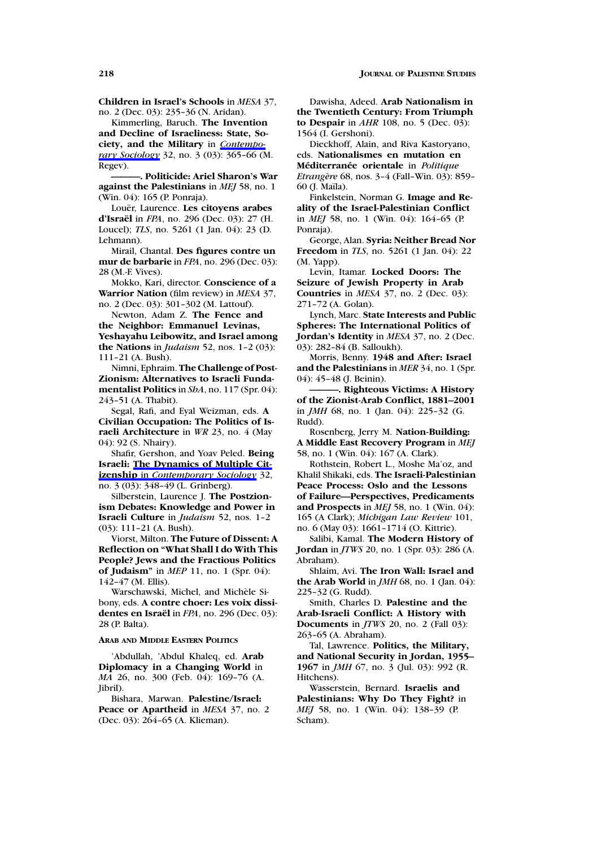**Children in Israel's Schools** in *MESA* 37, no. 2 (Dec. 03): 235–36 (N. Aridan).

Kimmerling, Baruch. **The Invention and Decline of Israeliness: State, Society, and the Military** in *Contemporary Sociology* 32, no. 3 (03): 365–66 (M. Regev).

**———. Politicide: Ariel Sharon's War against the Palestinians** in *MEJ* 58, no. 1 (Win. 04): 165 (P. Ponraja).

Louër, Laurence. Les citoyens arabes **d'Israel ¨** in *FPA*, no. 296 (Dec. 03): 27 (H. Loucel); *TLS*, no. 5261 (1 Jan. 04): 23 (D. Lehmann).

Mirail, Chantal. **Des figures contre un mur de barbarie** in *FPA*, no. 296 (Dec. 03): 28 (M.-F. Vives).

Mokko, Kari, director. **Conscience of a Warrior Nation** (film review) in *MESA* 37, no. 2 (Dec. 03): 301–302 (M. Lattouf).

Newton, Adam Z. **The Fence and the Neighbor: Emmanuel Levinas, Yeshayahu Leibowitz, and Israel among the Nations** in *Judaism* 52, nos. 1–2 (03): 111–21 (A. Bush).

Nimni, Ephraim. **The Challenge of Post-Zionism: Alternatives to Israeli Fundamentalist Politics** in *ShA*, no. 117 (Spr. 04): 243–51 (A. Thabit).

Segal, Rafi, and Eyal Weizman, eds. **A Civilian Occupation: The Politics of Israeli Architecture** in *WR* 23, no. 4 (May 04): 92 (S. Nhairy).

Shafir, Gershon, and Yoav Peled. **Being Israeli: The Dynamics of Multiple Citizenship** in *Contemporary Sociology* 32, no. 3 (03): 348–49 (L. Grinberg).

Silberstein, Laurence J. **The Postzionism Debates: Knowledge and Power in Israeli Culture** in *Judaism* 52, nos. 1–2 (03): 111–21 (A. Bush).

Viorst, Milton. **The Future of Dissent: A Reflection on "What Shall I do With This People? Jews and the Fractious Politics of Judaism"** in *MEP* 11, no. 1 (Spr. 04): 142–47 (M. Ellis).

Warschawski, Michel, and Michèle Sibony, eds. **A contre choer: Les voix dissidentes en Israel ¨** in *FPA*, no. 296 (Dec. 03): 28 (P. Balta).

# **ARAB AND MIDDLE EASTERN POLITICS**

'Abdullah, 'Abdul Khaleq, ed. **Arab Diplomacy in a Changing World** in *MA* 26, no. 300 (Feb. 04): 169–76 (A. Jibril).

Bishara, Marwan. **Palestine/Israel: Peace or Apartheid** in *MESA* 37, no. 2 (Dec. 03): 264–65 (A. Klieman).

Dawisha, Adeed. **Arab Nationalism in the Twentieth Century: From Triumph to Despair** in *AHR* 108, no. 5 (Dec. 03): 1564 (I. Gershoni).

Dieckhoff, Alain, and Riva Kastoryano, eds. **Nationalismes en mutation en Méditerranée orientale** in *Politique Etrang`ere* 68, nos. 3–4 (Fall–Win. 03): 859– 60 (J. Maïla).

Finkelstein, Norman G. **Image and Reality of the Israel-Palestinian Conflict** in *MEJ* 58, no. 1 (Win. 04): 164–65 (P. Ponraia).

George, Alan. **Syria: Neither Bread Nor Freedom** in *TLS*, no. 5261 (1 Jan. 04): 22 (M. Yapp).

Levin, Itamar. **Locked Doors: The Seizure of Jewish Property in Arab Countries** in *MESA* 37, no. 2 (Dec. 03): 271–72 (A. Golan).

Lynch, Marc. **State Interests and Public Spheres: The International Politics of Jordan's Identity** in *MESA* 37, no. 2 (Dec. 03): 282–84 (B. Salloukh).

Morris, Benny. **1948 and After: Israel and the Palestinians** in *MER* 34, no. 1 (Spr. 04): 45–48 (J. Beinin).

**———. Righteous Victims: A History of the Zionist-Arab Conflict, 1881–2001** in *JMH* 68, no. 1 (Jan. 04): 225–32 (G. Rudd).

Rosenberg, Jerry M. **Nation-Building: A Middle East Recovery Program** in *MEJ* 58, no. 1 (Win. 04): 167 (A. Clark).

Rothstein, Robert L., Moshe Ma'oz, and Khalil Shikaki, eds. **The Israeli-Palestinian Peace Process: Oslo and the Lessons of Failure—Perspectives, Predicaments and Prospects** in *MEJ* 58, no. 1 (Win. 04): 165 (A Clark); *Michigan Law Review* 101, no. 6 (May 03): 1661–1714 (O. Kittrie).

Salibi, Kamal. **The Modern History of Jordan** in *JTWS* 20, no. 1 (Spr. 03): 286 (A. Abraham).

Shlaim, Avi. **The Iron Wall: Israel and the Arab World** in *JMH* 68, no. 1 (Jan. 04): 225–32 (G. Rudd).

Smith, Charles D. **Palestine and the Arab-Israeli Conflict: A History with Documents** in *JTWS* 20, no. 2 (Fall 03): 263–65 (A. Abraham).

Tal, Lawrence. **Politics, the Military, and National Security in Jordan, 1955– 1967** in *JMH* 67, no. 3 (Jul. 03): 992 (R. Hitchens).

Wasserstein, Bernard. **Israelis and Palestinians: Why Do They Fight?** in *MEJ* 58, no. 1 (Win. 04): 138-39 (P. Scham).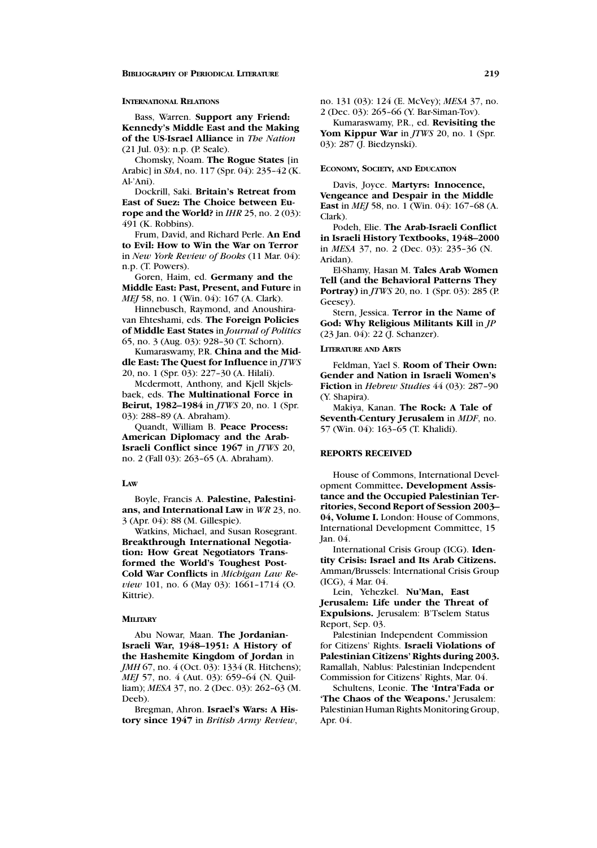### **INTERNATIONAL RELATIONS**

Bass, Warren. **Support any Friend: Kennedy's Middle East and the Making of the US-Israel Alliance** in *The Nation* (21 Jul. 03): n.p. (P. Seale).

Chomsky, Noam. **The Rogue States** [in Arabic] in *ShA*, no. 117 (Spr. 04): 235–42 (K. Al-'Ani).

Dockrill, Saki. **Britain's Retreat from East of Suez: The Choice between Europe and the World?** in *IHR* 25, no. 2 (03): 491 (K. Robbins).

Frum, David, and Richard Perle. **An End to Evil: How to Win the War on Terror** in *New York Review of Books* (11 Mar. 04): n.p. (T. Powers).

Goren, Haim, ed. **Germany and the Middle East: Past, Present, and Future** in *MEJ* 58, no. 1 (Win. 04): 167 (A. Clark).

Hinnebusch, Raymond, and Anoushiravan Ehteshami, eds. **The Foreign Policies of Middle East States** in *Journal of Politics* 65, no. 3 (Aug. 03): 928–30 (T. Schorn).

Kumaraswamy, P.R. **China and the Middle East: The Quest for Influence** in *JTWS* 20, no. 1 (Spr. 03): 227–30 (A. Hilali).

Mcdermott, Anthony, and Kjell Skjelsbaek, eds. **The Multinational Force in Beirut, 1982–1984** in *JTWS* 20, no. 1 (Spr. 03): 288–89 (A. Abraham).

Quandt, William B. **Peace Process: American Diplomacy and the Arab-Israeli Conflict since 1967** in *JTWS* 20, no. 2 (Fall 03): 263–65 (A. Abraham).

# **LAW**

Boyle, Francis A. **Palestine, Palestinians, and International Law** in *WR* 23, no. 3 (Apr. 04): 88 (M. Gillespie).

Watkins, Michael, and Susan Rosegrant. **Breakthrough International Negotiation: How Great Negotiators Transformed the World's Toughest Post-Cold War Conflicts** in *Michigan Law Review* 101, no. 6 (May 03): 1661-1714 (O. Kittrie).

#### **MILITARY**

Abu Nowar, Maan. **The Jordanian-Israeli War, 1948–1951: A History of the Hashemite Kingdom of Jordan** in *JMH* 67, no. 4 (Oct. 03): 1334 (R. Hitchens); *MEJ* 57, no. 4 (Aut. 03): 659–64 (N. Quilliam); *MESA* 37, no. 2 (Dec. 03): 262–63 (M. Deeb).

Bregman, Ahron. **Israel's Wars: A History since 1947** in *British Army Review*, no. 131 (03): 124 (E. McVey); *MESA* 37, no. 2 (Dec. 03): 265–66 (Y. Bar-Siman-Tov).

Kumaraswamy, P.R., ed. **Revisiting the Yom Kippur War** in *JTWS* 20, no. 1 (Spr. 03): 287 (J. Biedzynski).

### **ECONOMY, SOCIETY, AND EDUCATION**

Davis, Joyce. **Martyrs: Innocence, Vengeance and Despair in the Middle East** in *MEJ* 58, no. 1 (Win. 04): 167–68 (A. Clark).

Podeh, Elie. **The Arab-Israeli Conflict in Israeli History Textbooks, 1948–2000** in *MESA* 37, no. 2 (Dec. 03): 235–36 (N. Aridan).

El-Shamy, Hasan M. **Tales Arab Women Tell (and the Behavioral Patterns They Portray)** in *JTWS* 20, no. 1 (Spr. 03): 285 (P. Geesey).

Stern, Jessica. **Terror in the Name of God: Why Religious Militants Kill** in *JP* (23 Jan. 04): 22 (J. Schanzer).

# **LITERATURE AND ARTS**

Feldman, Yael S. **Room of Their Own: Gender and Nation in Israeli Women's Fiction** in *Hebrew Studies* 44 (03): 287–90 (Y. Shapira).

Makiya, Kanan. **The Rock: A Tale of Seventh-Century Jerusalem** in *MDF*, no. 57 (Win. 04): 163–65 (T. Khalidi).

# **REPORTS RECEIVED**

House of Commons, International Development Committee**. Development Assistance and the Occupied Palestinian Territories, Second Report of Session 2003– 04, Volume I.** London: House of Commons, International Development Committee, 15 Jan. 04.

International Crisis Group (ICG). **Identity Crisis: Israel and Its Arab Citizens.** Amman/Brussels: International Crisis Group (ICG), 4 Mar. 04.

Lein, Yehezkel. **Nu'Man, East Jerusalem: Life under the Threat of Expulsions.** Jerusalem: B'Tselem Status Report, Sep. 03.

Palestinian Independent Commission for Citizens' Rights. **Israeli Violations of Palestinian Citizens' Rights during 2003.** Ramallah, Nablus: Palestinian Independent Commission for Citizens' Rights, Mar. 04.

Schultens, Leonie. **The 'Intra'Fada or 'The Chaos of the Weapons.'** Jerusalem: Palestinian Human Rights Monitoring Group, Apr. 04.